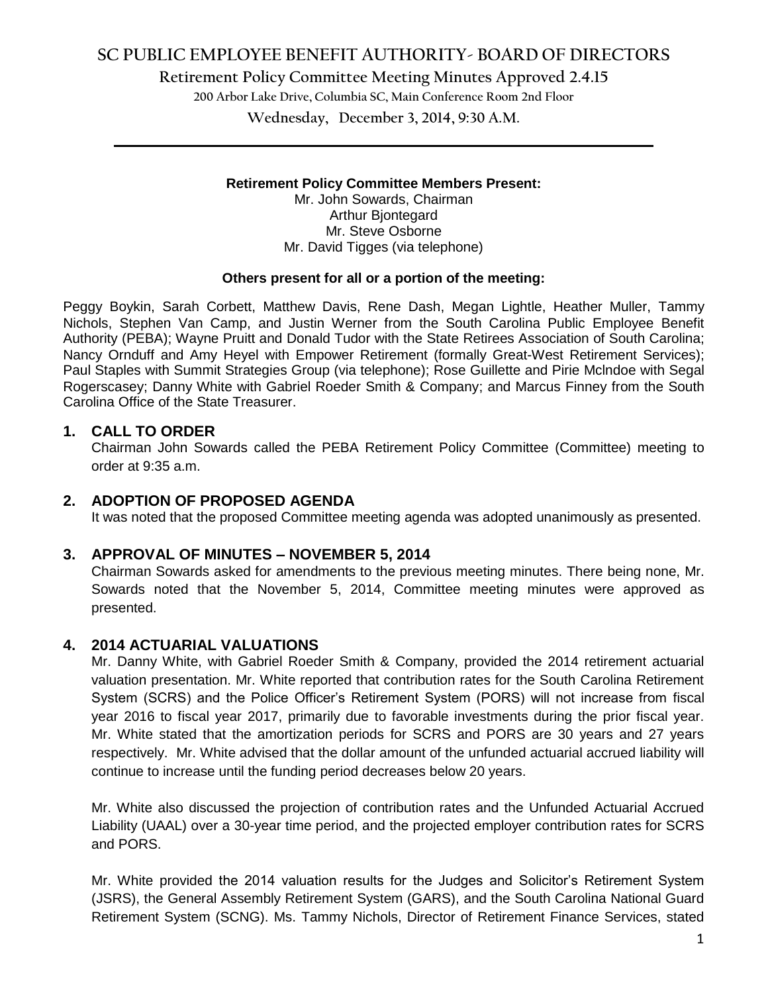**Retirement Policy Committee Meeting Minutes Approved 2.4.15**

**200 Arbor Lake Drive, Columbia SC, Main Conference Room 2nd Floor**

**Wednesday, December 3, 2014, 9:30 A.M. \_\_\_\_\_\_\_\_\_\_\_\_\_\_\_\_\_\_\_\_\_\_\_\_\_\_\_\_\_\_\_\_\_\_\_\_\_\_\_\_\_\_\_\_\_\_\_\_\_\_\_\_\_\_\_\_\_\_\_\_\_\_\_\_\_\_\_\_\_\_\_\_**

#### **Retirement Policy Committee Members Present:**

Mr. John Sowards, Chairman Arthur Bjontegard Mr. Steve Osborne Mr. David Tigges (via telephone)

### **Others present for all or a portion of the meeting:**

Peggy Boykin, Sarah Corbett, Matthew Davis, Rene Dash, Megan Lightle, Heather Muller, Tammy Nichols, Stephen Van Camp, and Justin Werner from the South Carolina Public Employee Benefit Authority (PEBA); Wayne Pruitt and Donald Tudor with the State Retirees Association of South Carolina; Nancy Ornduff and Amy Heyel with Empower Retirement (formally Great-West Retirement Services); Paul Staples with Summit Strategies Group (via telephone); Rose Guillette and Pirie Mclndoe with Segal Rogerscasey; Danny White with Gabriel Roeder Smith & Company; and Marcus Finney from the South Carolina Office of the State Treasurer.

## **1. CALL TO ORDER**

Chairman John Sowards called the PEBA Retirement Policy Committee (Committee) meeting to order at 9:35 a.m.

### **2. ADOPTION OF PROPOSED AGENDA**

It was noted that the proposed Committee meeting agenda was adopted unanimously as presented.

## **3. APPROVAL OF MINUTES – NOVEMBER 5, 2014**

Chairman Sowards asked for amendments to the previous meeting minutes. There being none, Mr. Sowards noted that the November 5, 2014, Committee meeting minutes were approved as presented.

#### **4. 2014 ACTUARIAL VALUATIONS**

Mr. Danny White, with Gabriel Roeder Smith & Company, provided the 2014 retirement actuarial valuation presentation. Mr. White reported that contribution rates for the South Carolina Retirement System (SCRS) and the Police Officer's Retirement System (PORS) will not increase from fiscal year 2016 to fiscal year 2017, primarily due to favorable investments during the prior fiscal year. Mr. White stated that the amortization periods for SCRS and PORS are 30 years and 27 years respectively. Mr. White advised that the dollar amount of the unfunded actuarial accrued liability will continue to increase until the funding period decreases below 20 years.

Mr. White also discussed the projection of contribution rates and the Unfunded Actuarial Accrued Liability (UAAL) over a 30-year time period, and the projected employer contribution rates for SCRS and PORS.

Mr. White provided the 2014 valuation results for the Judges and Solicitor's Retirement System (JSRS), the General Assembly Retirement System (GARS), and the South Carolina National Guard Retirement System (SCNG). Ms. Tammy Nichols, Director of Retirement Finance Services, stated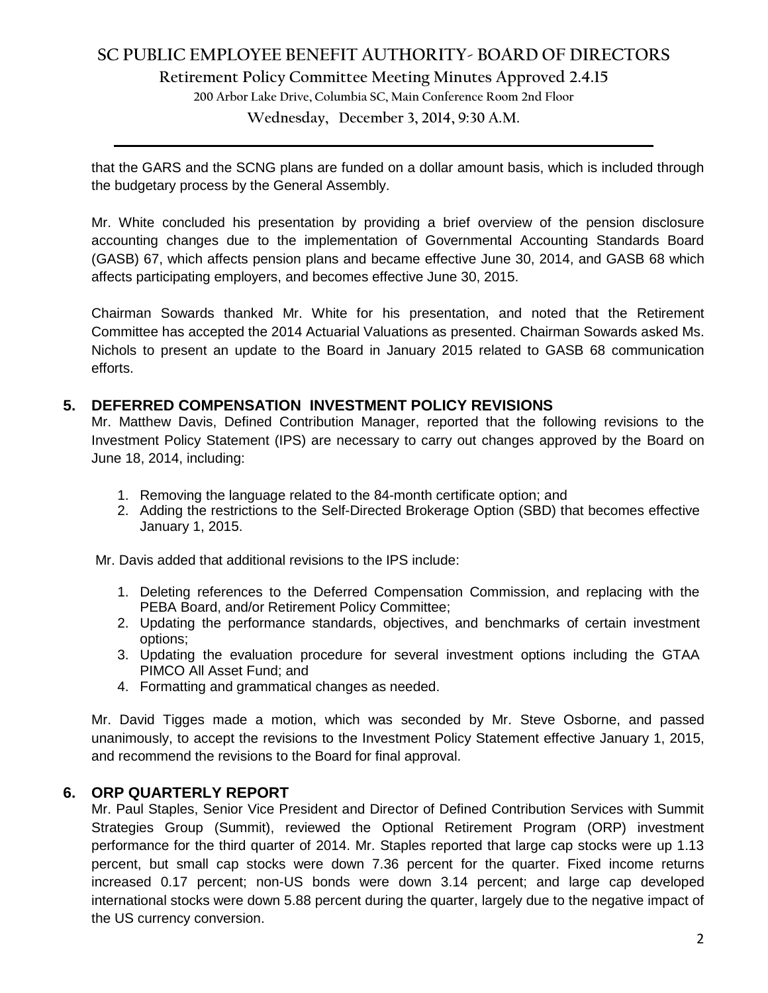**Retirement Policy Committee Meeting Minutes Approved 2.4.15**

**200 Arbor Lake Drive, Columbia SC, Main Conference Room 2nd Floor**

**Wednesday, December 3, 2014, 9:30 A.M. \_\_\_\_\_\_\_\_\_\_\_\_\_\_\_\_\_\_\_\_\_\_\_\_\_\_\_\_\_\_\_\_\_\_\_\_\_\_\_\_\_\_\_\_\_\_\_\_\_\_\_\_\_\_\_\_\_\_\_\_\_\_\_\_\_\_\_\_\_\_\_\_**

that the GARS and the SCNG plans are funded on a dollar amount basis, which is included through the budgetary process by the General Assembly.

Mr. White concluded his presentation by providing a brief overview of the pension disclosure accounting changes due to the implementation of Governmental Accounting Standards Board (GASB) 67, which affects pension plans and became effective June 30, 2014, and GASB 68 which affects participating employers, and becomes effective June 30, 2015.

Chairman Sowards thanked Mr. White for his presentation, and noted that the Retirement Committee has accepted the 2014 Actuarial Valuations as presented. Chairman Sowards asked Ms. Nichols to present an update to the Board in January 2015 related to GASB 68 communication efforts.

## **5. DEFERRED COMPENSATION INVESTMENT POLICY REVISIONS**

Mr. Matthew Davis, Defined Contribution Manager, reported that the following revisions to the Investment Policy Statement (IPS) are necessary to carry out changes approved by the Board on June 18, 2014, including:

- 1. Removing the language related to the 84-month certificate option; and
- 2. Adding the restrictions to the Self-Directed Brokerage Option (SBD) that becomes effective January 1, 2015.

Mr. Davis added that additional revisions to the IPS include:

- 1. Deleting references to the Deferred Compensation Commission, and replacing with the PEBA Board, and/or Retirement Policy Committee;
- 2. Updating the performance standards, objectives, and benchmarks of certain investment options;
- 3. Updating the evaluation procedure for several investment options including the GTAA PIMCO All Asset Fund; and
- 4. Formatting and grammatical changes as needed.

Mr. David Tigges made a motion, which was seconded by Mr. Steve Osborne, and passed unanimously, to accept the revisions to the Investment Policy Statement effective January 1, 2015, and recommend the revisions to the Board for final approval.

#### **6. ORP QUARTERLY REPORT**

Mr. Paul Staples, Senior Vice President and Director of Defined Contribution Services with Summit Strategies Group (Summit), reviewed the Optional Retirement Program (ORP) investment performance for the third quarter of 2014. Mr. Staples reported that large cap stocks were up 1.13 percent, but small cap stocks were down 7.36 percent for the quarter. Fixed income returns increased 0.17 percent; non-US bonds were down 3.14 percent; and large cap developed international stocks were down 5.88 percent during the quarter, largely due to the negative impact of the US currency conversion.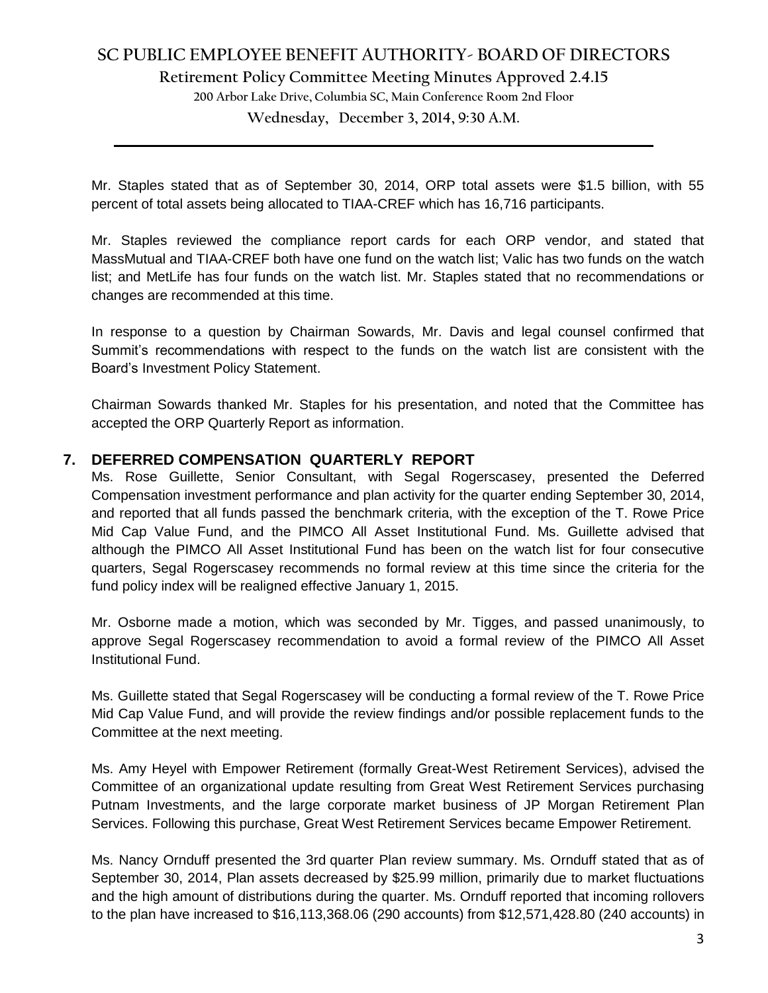**Retirement Policy Committee Meeting Minutes Approved 2.4.15**

**200 Arbor Lake Drive, Columbia SC, Main Conference Room 2nd Floor**

**Wednesday, December 3, 2014, 9:30 A.M. \_\_\_\_\_\_\_\_\_\_\_\_\_\_\_\_\_\_\_\_\_\_\_\_\_\_\_\_\_\_\_\_\_\_\_\_\_\_\_\_\_\_\_\_\_\_\_\_\_\_\_\_\_\_\_\_\_\_\_\_\_\_\_\_\_\_\_\_\_\_\_\_**

Mr. Staples stated that as of September 30, 2014, ORP total assets were \$1.5 billion, with 55 percent of total assets being allocated to TIAA-CREF which has 16,716 participants.

Mr. Staples reviewed the compliance report cards for each ORP vendor, and stated that MassMutual and TIAA-CREF both have one fund on the watch list; Valic has two funds on the watch list; and MetLife has four funds on the watch list. Mr. Staples stated that no recommendations or changes are recommended at this time.

In response to a question by Chairman Sowards, Mr. Davis and legal counsel confirmed that Summit's recommendations with respect to the funds on the watch list are consistent with the Board's Investment Policy Statement.

Chairman Sowards thanked Mr. Staples for his presentation, and noted that the Committee has accepted the ORP Quarterly Report as information.

## **7. DEFERRED COMPENSATION QUARTERLY REPORT**

Ms. Rose Guillette, Senior Consultant, with Segal Rogerscasey, presented the Deferred Compensation investment performance and plan activity for the quarter ending September 30, 2014, and reported that all funds passed the benchmark criteria, with the exception of the T. Rowe Price Mid Cap Value Fund, and the PIMCO All Asset Institutional Fund. Ms. Guillette advised that although the PIMCO All Asset Institutional Fund has been on the watch list for four consecutive quarters, Segal Rogerscasey recommends no formal review at this time since the criteria for the fund policy index will be realigned effective January 1, 2015.

Mr. Osborne made a motion, which was seconded by Mr. Tigges, and passed unanimously, to approve Segal Rogerscasey recommendation to avoid a formal review of the PIMCO All Asset Institutional Fund.

Ms. Guillette stated that Segal Rogerscasey will be conducting a formal review of the T. Rowe Price Mid Cap Value Fund, and will provide the review findings and/or possible replacement funds to the Committee at the next meeting.

Ms. Amy Heyel with Empower Retirement (formally Great-West Retirement Services), advised the Committee of an organizational update resulting from Great West Retirement Services purchasing Putnam Investments, and the large corporate market business of JP Morgan Retirement Plan Services. Following this purchase, Great West Retirement Services became Empower Retirement.

Ms. Nancy Ornduff presented the 3rd quarter Plan review summary. Ms. Ornduff stated that as of September 30, 2014, Plan assets decreased by \$25.99 million, primarily due to market fluctuations and the high amount of distributions during the quarter. Ms. Ornduff reported that incoming rollovers to the plan have increased to \$16,113,368.06 (290 accounts) from \$12,571,428.80 (240 accounts) in